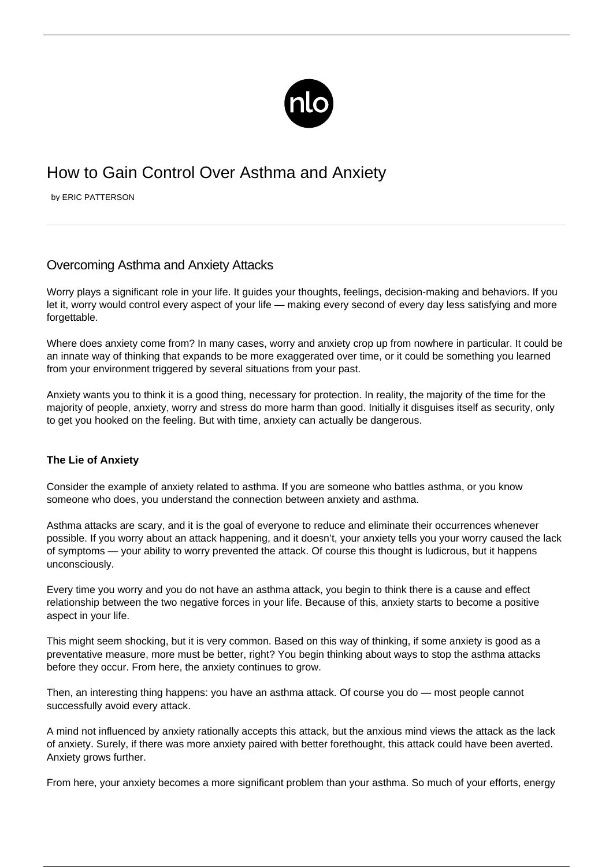

# How to Gain Control Over Asthma and Anxiety

by ERIC PATTERSON

# Overcoming Asthma and Anxiety Attacks

Worry plays a significant role in your life. It guides your thoughts, feelings, decision-making and behaviors. If you let it, worry would control every aspect of your life — making every second of every day less satisfying and more forgettable.

Where does anxiety come from? In many cases, worry and anxiety crop up from nowhere in particular. It could be an innate way of thinking that expands to be more exaggerated over time, or it could be something you learned from your environment triggered by several situations from your past.

Anxiety wants you to think it is a good thing, necessary for protection. In reality, the majority of the time for the majority of people, anxiety, worry and stress do more harm than good. Initially it disguises itself as security, only to get you hooked on the feeling. But with time, anxiety can actually be dangerous.

# **The Lie of Anxiety**

Consider the example of anxiety related to asthma. If you are someone who battles asthma, or you know someone who does, you understand the connection between anxiety and asthma.

[Asthma attacks](/what-to-do-during-an-asthma-attack/) are scary, and it is the goal of everyone to reduce and eliminate their occurrences whenever possible. If you worry about an attack happening, and it doesn't, your anxiety tells you your worry caused the lack of symptoms — your ability to worry prevented the attack. Of course this thought is ludicrous, but it happens unconsciously.

Every time you worry and you do not have an asthma attack, you begin to think there is a cause and effect relationship between the two negative forces in your life. Because of this, anxiety starts to become a positive aspect in your life.

This might seem shocking, but it is very common. Based on this way of thinking, if some anxiety is good as a preventative measure, more must be better, right? You begin thinking about ways to stop the asthma attacks before they occur. From here, the anxiety continues to grow.

Then, an interesting thing happens: you have an asthma attack. Of course you do — most people cannot successfully avoid every attack.

A mind not influenced by anxiety rationally accepts this attack, but the anxious mind views the attack as the lack of anxiety. Surely, if there was more anxiety paired with better forethought, this attack could have been averted. Anxiety grows further.

From here, your anxiety becomes a more significant problem than your asthma. So much of your efforts, energy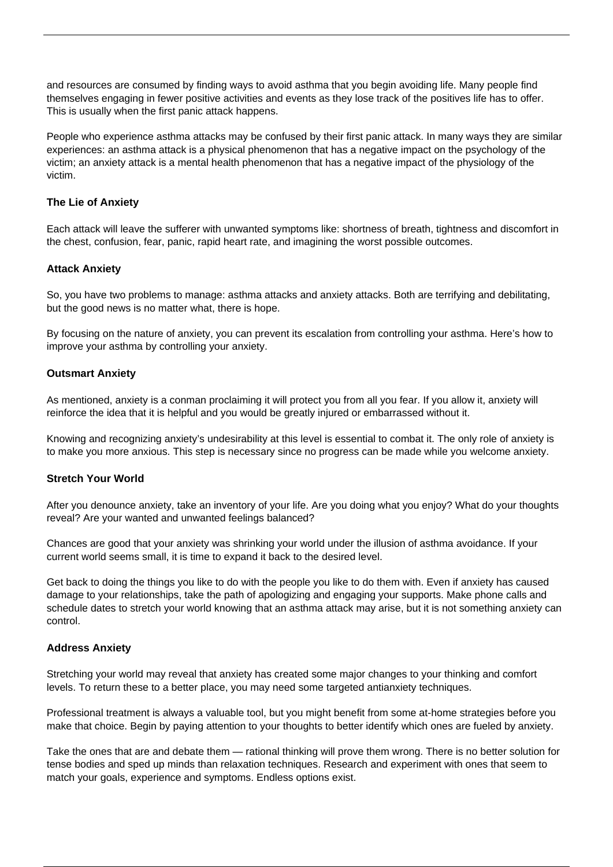and resources are consumed by finding ways to avoid asthma that you begin avoiding life. Many people find themselves engaging in fewer positive activities and events as they lose track of the positives life has to offer. This is usually when the first panic attack happens.

People who experience asthma attacks may be confused by their first panic attack. In many ways they are similar experiences: an asthma attack is a physical phenomenon that has a negative impact on the psychology of the victim; an anxiety attack is a mental health phenomenon that has a negative impact of the physiology of the victim.

#### **The Lie of Anxiety**

Each attack will leave the sufferer with unwanted symptoms like: shortness of breath, tightness and discomfort in the chest, confusion, fear, panic, rapid heart rate, and imagining the worst possible outcomes.

## **Attack Anxiety**

So, you have two problems to manage: asthma attacks and anxiety attacks. Both are [terrifying and debilitating,](/avoiding-asthma-attacks/) but the good news is no matter what, there is hope.

By focusing on the nature of anxiety, you can prevent its escalation from controlling your asthma. Here's how to improve your asthma by controlling your anxiety.

## **Outsmart Anxiety**

As mentioned, anxiety is a conman proclaiming it will protect you from all you fear. If you allow it, anxiety will reinforce the idea that it is helpful and you would be greatly injured or embarrassed without it.

Knowing and recognizing anxiety's undesirability at this level is essential to combat it. The only role of anxiety is to make you more anxious. This step is necessary since no progress can be made while you welcome anxiety.

#### **Stretch Your World**

After you denounce anxiety, take an inventory of your life. Are you doing what you enjoy? What do your thoughts reveal? Are your wanted and unwanted feelings balanced?

Chances are good that your anxiety was shrinking your world under the illusion of asthma avoidance. If your current world seems small, it is time to expand it back to the desired level.

Get back to doing the things you like to do with the people you like to do them with. Even if anxiety has caused damage to your relationships, take the path of apologizing and engaging your supports. Make phone calls and schedule dates to stretch your world knowing that an asthma attack may arise, but it is not something anxiety can control.

#### **Address Anxiety**

Stretching your world may reveal that anxiety has created some major changes to your thinking and comfort levels. To return these to a better place, you may need some targeted antianxiety techniques.

Professional treatment is always a valuable tool, but you might benefit from some at-home strategies before you make that choice. Begin by paying attention to your thoughts to better identify which ones are fueled by anxiety.

Take the ones that are and debate them — rational thinking will prove them wrong. There is no better solution for tense bodies and sped up minds than relaxation techniques. Research and experiment with ones that seem to match your goals, experience and symptoms. Endless options exist.